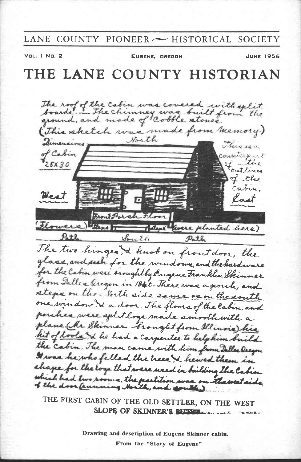LANE COUNTY PIONEER  $\sim$  HISTORICAL SOCIETY

VOL. I No. 2 EUGENE, OREGON JUNE 1956

THE LANE COUNTY HISTORIAN

of of the cabin was covered with split chimney i (This sketch was made from memory.) North dimensions This is a Cabin counterpart the L5X30 out lines of the Cabin. Last ŦL Flowers) avere planted here) The two hinger, I knot on front door, the<br>The two hinger, I knot on front door, the<br>glass, and such for the windows, and the hardware from Dalles Oregon in 1846. There was a pouch, and one window? I a door. The floors of the labin, and plane (Mr Skinner Stought from Illinois) his hit of tools " I he had a carpenter to help him build It was he who felled the trees of hewed them in<br>shape for the logs that were used in building the Cabin which had two rooms, the partition was on thewest side.<br>of the door frunning North, and could

THE FIRST CABIN OF THE OLD SETTLER, ON THE WEST SLOPE OF SKINNE,R'S IU -

> Drawing and description of Eugene Skinner cabin. From the "Story of Eugene"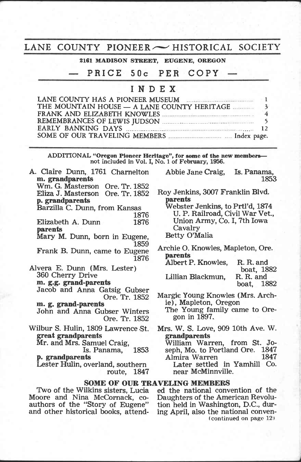### LANE COUNTY PIONEER $\sim$  HISTORICAL SOCIETY

#### 2161 MADISON STREET, EUGENE, OREGON

# - PRICE 50c PER COPY -

### INDEX

| LANE COUNTY HAS A PIONEER MUSEUM <b>EXAMPLE</b> |  |
|-------------------------------------------------|--|
| THE MOUNTAIN HOUSE - A LANE COUNTY HERITAGE     |  |
| FRANK AND ELIZABETH KNOWLES                     |  |
|                                                 |  |
|                                                 |  |
|                                                 |  |
|                                                 |  |

ADDITIONAL "Oregon Pioneer Heritage", for some of the new members—<br>not included in Vol. I, No. 1 of February, 1956.

# A. Claire Dunn, 1761 Charnelton m. grandparents Wm. G. Masterson Ore. Tr. 1852 Eliza J. Masterson Ore. Tr. 1852<br>p. grandparents Barzilla C. Dunn, from Kansas 1876<br>1876 Elizabeth A. Dunn<br>parents Mary M. Dunn, born in Eugene,<br>1859 Frank B. Dunn, came to Eugene 1876 Alvera E. Dunn (Mrs. Lester)<br>360 Cherry Drive<br>m. g.g. grand-parents<br>Jacob and Anna Gatsig Gubser<br>Ore. Tr. 1852<br>m. g. grand-parents John and Anna Gubser Winters Ore. Tr. 1852 Wilbur S. Hulin, 1809 Lawrence St.<br>great grandparents<br>Mr. and Mrs. Samuel Craig,<br>Is. Panama, 1853<br>p. grandparents Lester Hulin, overland, southern route, 1847

Abbie Jane Craig, Is. Panama, 1853

Roy Jenkins, 3007 Franklin Blvd. parents Webster Jenkins, to PrtI'd, 1874 U. P. Railroad, Civil War Vet.,

Union Army, Co. I, 7th Iowa Cavalry Betty O'Malia

Archie 0. Knowles, Mapleton, Ore. 1859 parents<br>Albert P. Knowles, R. R. and

boat, 1882<br>R. R. and Lillian Blackmun, boat, 1882

Margie Young Knowles (Mrs. Arch-<br>ie), Mapleton, Oregon The Young family came to Ore-<br>gon in 1897.

Mrs. W. S. Love, 909 10th Ave. W.<br>grandparents William Warren, from St. Joseph, Mo. to Portland Ore. 1847 Almira Warren <sup>1847</sup>

Later settled in Yamhill Co. near McMinnville.

# **SOME OF OUR TRAVELING MEMBERS**<br>ilkins sisters, Lucia ed the national convention of the

authors of the "Story of Eugene" tion held in Washington, D.C., durand other historical books, attend- ing April, also the national conven-

Two of the Wilkins sisters, Lucia ed the national convention of the Moore and Nina McCornack, co- Daughters of the American Revolu-(continued on page 12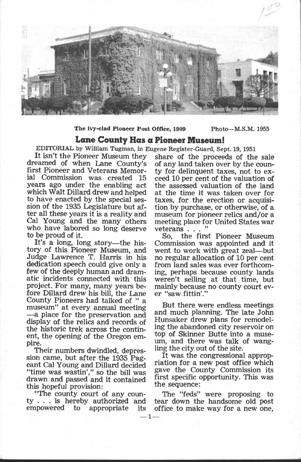

The ivy-clad Pioneer Post Office, 1909 Photo---M.S.M. 1955

### Lane County Has a Pioneer Museum'

 $-1-$ 

EDITORIAL by William Thgman, in Eugene Register-Guard, Sept. 19, 1951

It isn't the Pioneer Museum they share of the proceeds of the sale<br>dreamed of when Lane County's of any land taken over by the counfirst Pioneer and Veterans Memorial Commission was created 15 ceed 10 per cent of the valuation of years ago under the enabling act which Walt Dillard drew and helped to have enacted by the special ses-<br>sion of the 1935 Legislature but af-<br>tion by purchase, or otherwise, of a<br>ter all these years it is a reality and<br>museum for pioneer relics and/or a Cal Young and the many others meeting place for United States war<br>who have labored so long deserve veterans  $\ldots$ ."<br>to be proud of it. So the first Pioneer Museum

It's a long, long story—the his-It's a long, long story—the his-<br>commission was appointed and it<br>tory of this Pioneer Museum, and went to work with great zeal—but Judge Lawrence T. Harris in his no regular allocation of 10 per cent dedication speech could give only a from land sales was ever forthcom-<br>few of the deeply human and dram- ing, perhaps because county lands few of the deeply human and dram- ing, perhaps because county lands<br>atic incidents connected with this weren't selling at that time, but project. For many, many years beproject. For many, many years be-<br>fore Dillard drew his bill, the Lane er "saw fittin'."<br>County Pioneers had talked of "a  $\frac{1}{2}$  museum" at every annual meeting But there were endless meetings  $\rightarrow$  place for the preservation and and much planning. The late John display of the religional records of Hunsaker drew plans for remodeldisplay of the relics and records of the historic trek across the contin-

Their numbers dwindled, depres-<br>
sion came, but after the 1935 Pag-<br>
eant Cal Young and Dillard decided<br>
"
time was wastin'" so the bill was<br>
"
gave the County Commission its "time was wastin'," so the bill was drawn and passed and it contained

"The county court of any county . . . is hereby authorized and empowered to appropriate its office to make way for a new one,

of any land taken over by the county for delinquent taxes, not to exthe assessed valuation of the land at the time it was taken over for taxes, for the erection or acquisimuseum for pioneer relics and/or a

So, the first Pioneer Museum went to work with great zeal--but weren't selling at that time, but

ent, the opening of the Oregon em-<br>ent, the opening of the Oregon em-<br>pire.<br>Their numbers dwindled depressed ing the city out of the site. and much planning. The late John ing the abandoned city reservoir on um, and there was talk of wang-

> It was the congressional appropriation for a new post office which first specific opportunity. This was the sequence:

> The "feds" were proposing to tear down the handsome old post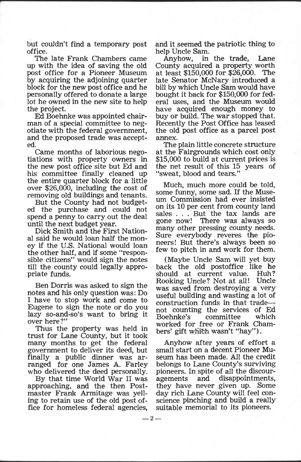but couldn't find a temporary post and it seemed the office.

The late Frank Chambers came up with the idea of saving the old post office for a Pioneer Museum block for the new post office and he bill by which Uncle Sam would have<br>personally offered to donate a large bought it back for \$150,000 for fed-<br>lot he owned in the new site to help eral uses, and the Museum would lot he owned in the new site to help eral uses, and the Museum would<br>the project. have acquired enough money to

Ed Boehnke was appointed chair-<br>man of a special committee to neg-<br>Recently the Post Office has leased<br>otiate with the federal government, the old post office as a parcel post<br>and the proposed trade was accept-<br>mnex.<br>The p ed.

Came months of laborious negotiations with property owners in the new post office site but Ed and the net result of this 15 his committee finally cleaned up "sweat, blood and tears." the entire quarter block for a little<br>over \$26,000, including the cost of Much, much more could be told,<br>removing old buildings and tenants. Some funny, some sad. If the Military

al said he would loan half the money if the U.S. National would loan neers! But there's always been so the other half, and if some "respon-<br>sible citizens" would sign the notes (Maybe Uncle Sam will yet buy till the county could legally appro- priate funds.

Ben Dorris was asked to sign the notes and his only question was: Do I have to stop work and come to I have to stop work and come to construction funds in that trade—<br>Eugene to sign the note or do you not counting the complete of Fd lazy so-and-so's want to bring it  $\frac{1}{1}$  Boehnke's<br>over here?"

Thus the property was held in<br>trust for Lane County, but it took trust for Lane County, but it took bers gift many months to get the federal Anyhov government to deliver its deed, but small star finally a public dinner was ar-seum has

ranged for one James A. Farley belongs to<br>who delivered the deed personally. pioneers. I<br>By that time World War II was agements<br>approaching, and the then Post- they have<br>master Frank Armitage was yell- day rich I ing to retain use of the old post office for homeless federal agencies, so  $-2-$ 

and it seemed the patriotic thing to

Anyhow, in the trade, Lane. County acquired a property worth at least \$150,000 for \$26,000. The late Senator McNary introduced a buy or build. The war stopped that. the old post office as a parcel post annex.

at the Fairgrounds which cost only \$15,000 to build at current prices is the net result of this 15 years of

But the County had not budget.  $\frac{1}{10}$  on its 10 per cent from county land<br>ed the purchase and could not spend a penny to carry out the deal<br>spend a penny to carry out the deal until the next budget year.<br>Dick Smith an Much, much more could be told, um Commission had ever insisted on its 10 per cent from county land sales . . . But the tax lands are many other pressing county needs. few to pitch in and work for them.

> back the old postoffice like he<br>should at current value. Huh? should at current value. Huh?<br>Rooking Uncle? Not at all! Uncle Rooking Uncle? Not at all! was saved from destroying a very useful building and wasting a lot of not counting the services of Ed Boehnke's committee which worked for free or Frank Chambers' gift whith wasn't "hay").

> Anyhow after years of effort a small start on a decent Pioneer Museum has been made. All the credit belongs to Lane County's surviving pioneers. In spite of all the discour-<br>agements and disappointments, agements and disappointments, they have never given up. Some day rich Lane County will feel con- science pinching and build a really suitable memorial to its pioneers.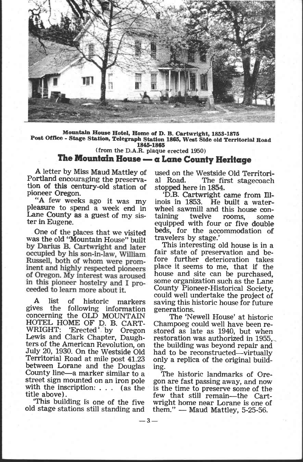

Mountain House Hotel, Home of D. B. Cartwrlght, 1853-1875 Post Office - Stage Station, Telegraph Station 1865, West Side old Territorial Road 1845-1865 (from the D.A.R. plaque erected 1950)

 $- 3 -$ 

# The Mountain House  $-$  a Lane County Heritage

A letter by Miss Maud Mattley of used on the Portland encouraging the preserva-<br>tion of this century-old station of stopped h

pioneer Oregon.<br>"A few weeks ago it was my pleasure to spend a week end in wheel s<br>Lane County as a guest of my sis-<br>taining ter in Eugene.

by Darius B. Cartwright and later This interesting old house is in a<br>occupied by his son-in-law, William fair state of preservation and be-<br>Russell, both of whom were prom. fore further deterioration takes Russell, both of whom were prom-<br>inent and highly respected pioneers inent and highly respected pioneers place it seems to me, that if the of Oregon. My interest was aroused house and site can be purchased, in this nioneer hostelry and I pro-One of the places that we visited beds, for the accommodation of was the old "Mountain House" built travelers by stage."

gives the following information generations.<br>
concerning the OLD MOUNTAIN The 'Newell House' at historic concerning the OLD MOUNTAIN The New<br>HOTEL HOME OF D. B. CART- Champoeg co WRIGHT: 'Erected' by Oregon stored as<br>Lewis and Clark Chapter, Daugh- restoration Lewis and Clark Chapter, Daugh- restoration was authorized in 1955, ters of the American Revolution, on the building was beyond repair and July 20, 1930. On the Westside Old had<br>Territorial Road at mile post 41.23 only<br>between Lorane and the Douglas ing.<br>County line—a marker similar to a T<br>street sign mounted on an iron pole gon with the inscription: . . . (as the title above).<br>This building is one of the five

old stage stations still standing and

used on the Westside Old Territori-The first stagecoach stopped here in 1854.

'D.B. Cartwright came from fliinois in 1853. He built a waterwheel sawmill and this house con-<br>taining twelve rooms. some twelve rooms, some equipped with four or five double

in this pioneer hostelry and I pro-<br>ceeded to learn more about it. County Pioneer-Historical Society,<br>could well undertake the project of A list of historic markers saving this historic house for future<br>ves the following information generations. This interesting old house is in a fair state of preservation and behouse and site can be purchased,<br>some organization such as the Lane<br>County Pioneer-Historical Society,<br>could well undertake the project of<br>saving this historic house for future<br>generations.<br>The 'Newell House' at historic<br>C

stored as late as 1940, but when restoration was authorized in 1955, had to be reconstructed—virtually only a replica of the original build-

The historic landmarks of Oregon are fast passing away, and now is the time to preserve some of the few that still remain—the Cartwright home near Lorane is one of them."  $-$  Maud Mattley, 5-25-56.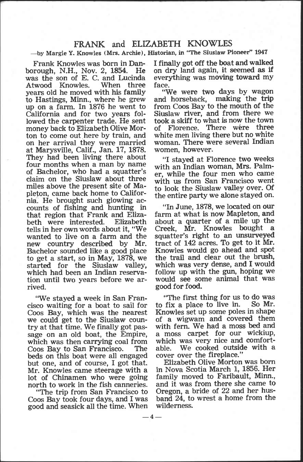#### FRANK and ELIZABETH KNOWLES

#### by Margie Y. Knowles (Mrs. Archie), Historian, in "The Siuslaw Pioneer" 1947

Frank Knowles was born in Dan-<br>rough, N.H., Nov. 2, 1854. He borough, N.H., Nov. 2, 1854. He on dry land again, it seemed as if was the son of E. C. and Lucinda everything was moving toward my Atwood Knowles. When three face. Atwood Knowles. years old he moved with his family to Hastings, Minn., where he grew up on a farm. In 1876 he went to from Coos Bay to the mouth of the California and for two years fol-<br>California and for two years fol-<br>lowed the carpenter trade. He sent took a skiff to what is now the town money back to Elizabeth Olive Mor- of Florence. There were three<br>ton to come out here by train, and white men living there but no white ton to come out here by train, and white mer<br>on her arrival they were married woman. I at Marysville, Calif., Jan. 17, 1878. women, They had been living there about  $n_{\text{I}}$  station on the Siuslaw about three claim on the Siuslaw about three with us claim on the Siuslaw about three with us from San Francisco went<br>miles above the present site of Ma-<br>pieton, came back home to Califor-<br>nia. He brought such glowing ac-<br>counts of fishing and hunting in "In June, 1878, we l that region that Frank and Elizabeth<br>beth were interested. Elizabeth<br>tells in her own words about it. "We wanted to live on a farm and the squatter's right to an unsurveyed new country described by Mr. tract of 142 acres. To get to it Mr. Bachelor sounded like a good place Knowles would go ahead and spot to get a start, so in May, 1878, we the trail and clear out the brush, to get a start, so in May, 1878, we started for the Siuslaw valley, which was very dense, and I would which had been an Indian reserva- follow up with the gun, hoping we tion until two years before we arrived.

"We stayed a week in San Fran-<br>cisco waiting for a boat to sail for to fix<br>Coos Bay, which was the nearest Know<br>we could get to the Siuslaw coun-of a try at that time. We finally got pas- with fern. We lsage on an old boat, the Empire, a moss carpet<br>which was then carrying coal from which was very which was then carrying coal from which was very nice and<br>Coos Bay to San Francisco. The able. We cooked outsid<br>beds on this boat were all engaged cover over the fireplace." but one, and of course, I got that.<br>Mr. Knowles came steerage with a lot of Chinamen who were going family moved to Faribault, Minn., north to work in the fish canneries, and it was from the resolve came to north to work in the fish canneries.<br>"The trip from San Francisco to"

Coos Bay took four days, and I was band 24, to wrest a home from the good and seasick all the time. When wilderness.<br> $-4-$ 

I finally got off the boat and walked face.

"We were two days by wagon and horseback, making the trip from Coos Bay to the mouth of the took a skiff to what is now the town There were three. woman. There were several Indian women, however.

"I stayed at Florence two weeks with an Indian woman, Mrs. Palm-<br>er, while the four men who came to look the Siuslaw valley over. Of the entire party we alone stayed on.

"In June, 1878, we located on our farm at what is now Mapleton, and about a quarter of a mile up the<br>Creek, Mr. Knowles, bought, a Creek, Mr. Knowles bought squatter's right to an unsurveyed which was very dense, and I would would see some animal that was good for food.

"The first thing for us to do was<br>fix a place to live in. So Mr. to fix a place to live in. Knowles set up some poles in shape of a wigwam and covered them with fern. We had a moss bed and a moss carpet for our wickiup, which was very nice and comfort-We cooked outside with a

Elizabeth Olive Morton was born in Nova Scotia March 1, 1856. Her family moved to Faribault, Minn., Oregon, a bride of 22 and her huswilderness.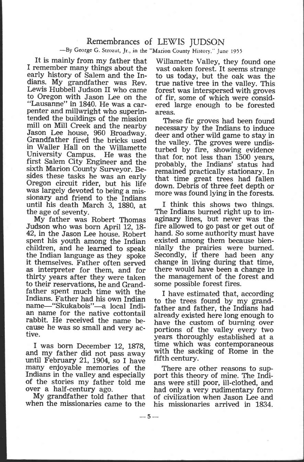### Remembrances of LEWIS JUDSON

#### By George G. Strozut, Jr., in the "Marion County History.' June 1955

It is mainly from my father that Willamette Valley, they found one<br>I remember many things about the vast oaken forest. It seems strange<br>early history of Salem and the In- to us today, but the oak was the<br>dians. My grandfat to Oregon with Jason Lee on the of fir, some of which were consid-<br>"Lausanne" in 1840. He was a car- ered large enough to be forested "Lausanne" in 1840. He was a carpenter and millwright who superintended the buildings of the mission These fir groves had been found mill on Mill Creek and the nearby necessary by the Indians to induce Jason Lee house, 960 Broadway. Grandfather fired the bricks used in Waller Hall on the Willamette<br>University Campus. He was the University Campus. first Salem City Engineer and the probably, the Indians' status had<br>sixth Marion County Surveyor, Be-<br>remained practically stationary. In sides these tasks he was an early<br>Oregon circuit rider, but his life down. Debris of three feet depth or<br>was largely devoted to being a mis-<br>sionary and friend to the Indians<br>until his death March 3, 1880, at <br>I think this

My father was Robert Thomas<br>Judson who was born April 12, 18-42, in the Jason Lee house. Robert hand. So some authority must have spent his youth among the Indian existed among them because bien-<br>children, and he learned to speak nially the prairies were burned. children, and he learned to speak the Indian language as they spoke it themselves. Father often served change in living during that time, as interpreter for them, and for there would have been a change in as interpreter for them, and for thirty years after they were taken<br>to their reservations, he and Grandfather spent much time with the Indians. Father had his own Indian name—"Skukabois"—a local Indian name for the native cottontail already existed here long enough to rabbit. He received the name because he was so small and very active.

I was born December 12, 1878, time whis and my father did not pass away until February 21, 1904, so I have fifth.cer<br>many enjoyable memories of the There

 $-5-$ 

Willamette Valley, they found one to us today, but the oak was the true native tree in the valley. This forest was interspersed with groves areas.

These fir groves had been found deer and other wild game to stay in the valley. The groves were undisturbed by fire, showing evidence that for not less than 1500 years, remained practically stationary. In that time great trees had fallen down. Debris of three feet depth or

aginary lines, but never was the fire allowed to go past or get out of existed among them because bien- nially the prairies were burned. Secondly, if there had been any change in living during that time, there would have been a change in the management of the forest and some possible forest fires.

I have estimated that, according to the trees found by my grandfather and father, the Indians had have the custom of burning over<br>portions of the valley every two years thoroughly established at a with the sacking of Rome in the fifth century.

many enjoyable memories of the There are other reasons to sup-<br>Indians in the valley and especially port this theory of mine. The Indi-<br>of the stories my father told me ans were still poor, ill-clothed, and<br>over a half-cen had only a very rudimentary form of civilization when Jason Lee and his missionaries arrived in 1834.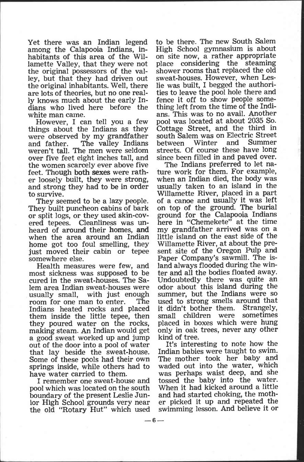Yet there was an Indian legend among the Calapooia Indians, in-<br>habitants of this area of the Wil- on site now, a rather appropriate<br>lamette Valley, that they were not place considering the steaming the original possessors of the valley, but that they had driven out the original inhabitants. Well, there are lots of theories, but no one real-<br>ly knows much about the early Indians who lived here before the thing left from the time of the Indiwhite man came.

However, I can tell you a few pool was located at about 2035 So.<br>things about the Indians as they Cottage Street, and the third in were observed by my grandfather south Salem was compared father. The valley Indians between Winter weren't tall. The men were seldom streets. Of course over five feet eight inches tall, and since been filled in and paved over.<br>the women scarcely ever above five the Indians preferred to let nathe women scarcely ever above five feet. Though both sexes were rath- ture work for them. For example,<br>er loosely built, they were strong, when an Indian died, the body was<br>and strong they had to be in order usually taken to an island in the<br>to survive. Wil

to survive.<br>They seemed to be a lazy people. They built puncheon cabins of bark on top of the ground. The burial<br>or split logs, or they used skin-cov- ground for the Calapooia Indians ered tepees. Cleanliness was un-<br>heard of around their homes, and my grandfather arrived was on a when the area around an Indian little island on the east side of the home got too foul smelling, they Willamette River, at about the prehome got too foul smelling, they Willamette River, at about the pre-<br>just moved their cabin or tepee sent site of the Oregon Pulp and just moved their cabin or tepee somewhere else.

most sickness was supposed to be cured in the sweat-houses. The Salem area Indian sweat-houses were usually small, with just enough<br>room for one man to enter. The room for one man to enter. The used to strong smells around that Indians heated rocks and placed it didn't bother them. Strangely, Indians heated rocks and placed it didn't bother<br>them inside the little tenee then small children them inside the little tepee, then they poured water on the rocks, placed in both making steam. An Indian would get only in oak a good sweat worked up and jump kind of tree. out of the door into a pool of water It's interesting to note how the that lay beside the sweat-house. Indian babies were taught to swim. Some of these pools had their own The mother took her baby and springs inside, while others had to waded out into the water, which<br>have water carried to them. Was perhaps waist deep, and she

I remember one sweat-house and boundary of the present Leslie Jun- and had started choking, the mothior High School grounds very near the old "Rotary Hut" which used s<br> $-6-$ 

to be there. The new South Salem High School gymnasium is about place considering the steaming shower rooms that replaced the old sweat-houses. However, when Leslie was built, I begged the authorities to leave the pool hole there and fence it off to show people someans. This was to no avail. Another pool was located at about 2035 So. south Salem was on Electric Street<br>hetween Winter and Summer between Winter and Summer streets. Of course these have long since been filled in and paved over.

Health measures were few, and land always flooded during the win-<br>ost sickness was supposed to be ter and all the bodies floated away. of a canoe and usually it was left<br>on top of the ground. The burial my grandfather arrived was on a little island on the east side of the Paper Company's sawmill. The island always flooded during the win-Undoubtedly there was quite an odor about this island during the summer, but the Indians were so used to strong smells around that were sometimes placed in boxes which were hung only in oak trees, never any other

It's interesting to note how the waded out into the water, which tossed the baby into the water. When it had kicked around a little er picked it up and repeated the swimming lesson. And believe it or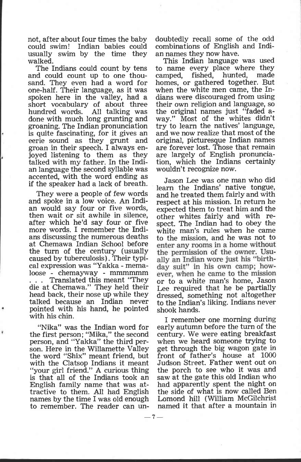not, after about four times the baby could swim! Indian babies could combinations of English<br>usually swim by the time they an-names-they-now-have. usually swim by the time they walked.

and could count up to one thou- camped, fished, hunted, made sand. They even had a word for homes, or gathered together. But one-half. Their language, as it was when the white men came, the Inspoken here in the valley, had short vocabulary of about three their own religion and language, so hundred words. All talking was the original names just "faded a-<br>done with much long grunting and way." Most of the whites didn't<br>groaning. The Indian pro groaning. The Indian pronunciation is quite fascinating, for it gives an and we now<br>eerie sound as they grunt and original, pi groan in their speech. I always engroan in their speech. I always en-<br>joyed listening to them as they are largely of English pronunciatalked with my father. In the Indi- tion, which the Indian<br>an language the second syllable was accented, with the word ending as if the speaker had a lack of breath.

They were a people of few words and he treated them fairly and with and spoke in a low voice. An Indi- an would say four or five words, then whites fairly and with reafter which he'd say four or five spect. The Indian had at Chemawa Indian School before the turn of the century (usually caused by tuberculosis). Their typi- cal expression was "Yakka - memaloose - chemayway - mmmmmm<br>... Translated this meant "They"  $\ldots$  Translated this meant "They do a white man's home, Jason die at Chemawa." They held their  $\text{Lee}$  required that he be partially head back, their nose up while they dressed, something not altogether talked because an Indian never pointed with his hand, he pointed with his chin.

the first person; "Mika," the second century. We were eating breakfast<br>person, and "Yakka" the third per- when we heard someone trying to<br>son. Here in the Willamette Valley get through the big wagon gate in<br>the word "Shix" with the Clatsop Indians it meant "your girl friend." A curious thing is that all of the Indians took an saw at the gate this old Indian who<br>English family name that was at- had apparently spent the night on English family name that was attractive to them. All had English names by the time I was old enough Lomond hill (William McGilchrist<br>to remember. The reader can un- named it that after a mountain in to remember. The reader can un- no<br> $-7-$ 

doubtedly recall some of the odd combinations of English and Indi-

This Indian language was used to name every place where they<br>camped fished, hunted, made camped, fished, hunted, homes, or gathered together. But dians were discouraged from using their own religion and language, so the original names just "faded aand we now realize that most of the original, picturesque Indian names are largely of English pronunciation, which the Indians certainly

enter any rooms in a home without<br>the permission of the owner. Usu-<br>ally an Indian wore just his "birth-<br>day suit" in his own camp; how-<br>ever, when he came to the mission Jason Lee was one man who did learn the Indians' native tongue, respect at his mission. In return he other whites fairly and with reto the mission, and he was not to or to a white man's home, Jason dressed, something not altogether to the Indian's liking. Indians never shook hands.

"Nika" was the Indian word for early autumn before the turn of the I remember one morning during century. We were eating breakfast front of father's house at 1000 Judson Street. Father went out on the porch to see who it was and saw at the gate this old Indian who the side of what is now called Ben Lomond hill (William McGilchrist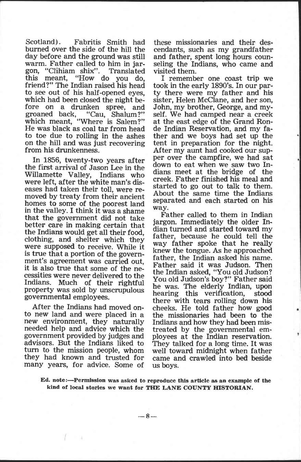Scotland). Fabritis Smith had these missionaries and their des-<br>burned over the side of the hill the cendants, such as my grandfather burned over the side of the hill the day before and the ground was still warm. Father called to him in jar- seling the Indians, who came and gon, "Clihiam shix". Translated visited them.<br>this meant, "How do you do. I remember one coast trip we friend?" The Indian raised his head<br>to see out of his half-opened eves. to see out of his half-opened eyes, ty there<br>which had been closed the night be- sister, H<br>fore on a drunken spree, and John, m groaned back, "Cau, Shalum?" self. W<br>which meant, "Where is Salem?" at the He was black as coal tar from head<br>to toe due to rolling in the ashes on the hill and was just recovering tent in preparation for the night. from his drunkenness.

the first arrival of Jason Lee in the Willamette Valley, Indians who were left, after the white man's dis-<br>eases had taken their toll, were re-<br>moved by treaty from their ancient<br> $\frac{1}{2}$  about the same time the Indians homes to some of the poorest land separation the poorest land  $\frac{1}{2}$  way. in the valley. I think it was a shame that the government did not take<br>better care in making certain that<br>the Indians would get all their food. dian turned and started toward my the Indians would get all their food, clothing, and shelter which they way father spoke that he really were supposed to receive. While it is true that a portion of the govern-<br>ment's agreement was carried out, it is also true that some of the ne-<br>it is also true that some of the ne-<br>stater said it was Judson. Then cessities were never delivered to the the fillulari asked, fou one cause in the Indiana sheet.

After the Indians had moved on-<br>to new land and were placed in a new environment, they naturally<br>needed help and advice which the needed help and advice which the treated by the governmental em-<br>government provided by judges and ployees at the Indian reservation. advisors. But the Indians liked to turn to the mission people, whom they had known and trusted for came and crawled into bed beside many years, for advice. Some of us boys.

these missionaries and their desand father, spent long hours counvisited them.

In 1856, twenty-two years after  $\frac{per}{2}$  over the campfire, we had sat I remember one coast trip we took in the early 1890's. In our party there were my father and his sister, Helen McClane, and her son,<br>John, my brother, George, and myself. We had camped near a creek<br>at the east edge of the Grand Ronde Indian Reservation, and my father and we boys had set up the After my aunt had cooked our supdians meet at the bridge of the creek. Father finished his meal and About the same time the Indians separated and each started on his

Indians. Much of their rightful not build by the was more property was sold by unscrupulous hearing this verification, stood governmental employees. Father called to them in Indian jargon. Immediately the older Inway father spoke that he really knew the tongue. As he approached Father said it was Judson. Then the Indian asked, "You old Judson? he was. The elderly Indian, upon hearing this verification, stood cheeks. He told father how good the missionaries had been to the Indians and how they had been miswell toward midnight when father us boys.

Ed. note:-Permission was asked to reproduce this article as an example of the kind of local stories we want for THE LANE COUNTY HISTORIAN.

 $-8-$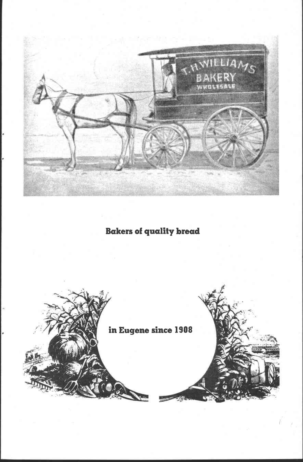

Bakers of quality bread

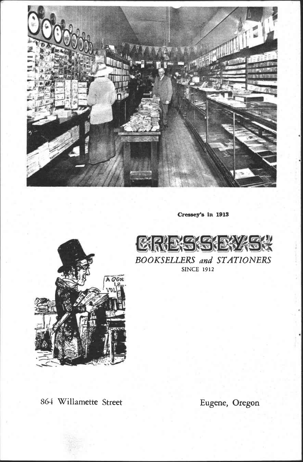

Cressey's in 1913



BOOKSELLERS and STATIONERS **SINCE 1912** 



864 Willamette Street Eugene, Oregon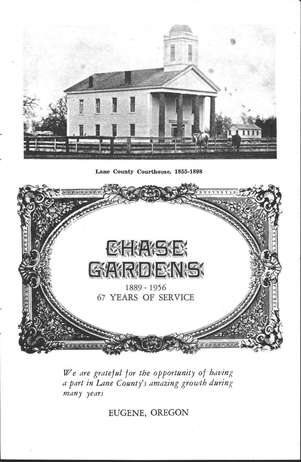

Lane County Courthouse, 1855-1898



We are grateful for the opportunity of having a part in Lane County's amazing growth during many years

EUGENE, OREGON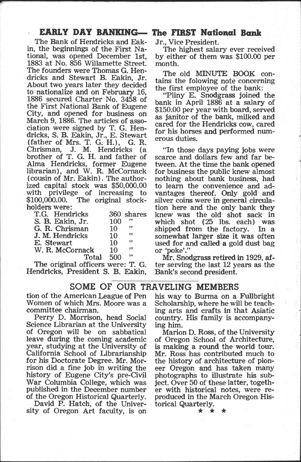# EARLY DAY BANKING— The FIRST National Bank

The Bank of Hendricks and Eakin, the beginnings of the First National, was opened December 1st, 1883 at No. 856 Willamette Street. The founders were Thomas G. Hendricks and Stewart B. Eakin, Jr. About two years later they decided to nationalize and on February 16, 1886 secured Charter No. 3458 of the First National Bank of Eugene City, and opened for business on March 9, 1886. The articles of association were signed by T. G. Hendricks, S. B. Eakin, Jr., E. Stewart (father of Mrs. T. G. H.), G. R.<br>Chrisman, J. M. Hendricks (a Chrisman, J. M. Hendricks (a brother of T. G. H. and father of Alma Hendricks, former Eugene librarian), and W. R. McCornack (cousin of Mr. Eakin). The authorized capital stock was \$50,000.00 with privilege of increasing to \$100,000.00. The original stock- holders were:

| T.G. Hendricks   |     | 360 shares |  |
|------------------|-----|------------|--|
| S. B. Eakin, Jr. | 100 | ,,         |  |
| G. R. Chrisman   | 10  | ,,         |  |
| J. M. Hendricks  | 10  | ,,         |  |
| E. Stewart       | 10  | ,,         |  |
| W. R. McCornack  | 10  | , ,        |  |
| Total            | 500 | ,,         |  |

The original officers were: T. G. Hendricks, President S. B. Eakin,

Jr., Vice President.

The highest salary ever received by either of them was \$100.00 per month.

The old MINUTE BOOK contains the folowing note concerning<br>the first employee of the bank:

"Pliny E. Snodgrass joined the bank in April 1886 at a salary of \$150.00 per year with board, served as janitor of the bank, milked and cared for the Hendricks cow, cared for his horses and performed num- erous duties.

"In those days paying jobs were scarce and dollars few and far between. At the time the bank opened<br>for business the public knew almost nothing about bank business, had to learn the convenience and advantages thereof. Only gold and silver coins were in general circula-<br>tion here and the only bank they ders were:<br>
T.G. Hendricks 360 shares knew was the old shot sack in which shot  $(25 \text{ lbs.} \text{ each})$  was<br>shipped from the factory. In a shipped from the factory. somewhat larger size it was often<br>used for and called a gold dust bag or 'poke'."<br>Mr. Snodgrass retired in 1929, af-

ter serving the last 12 years as the Bank's second president.

# SOME OF OUR TRAVELING MEMBERS

tion of the American League of Pen Women of which Mrs. Moore was a committee chairman.

Science Librarian at the University<br>of Oregon will be on sabbatical leave during the coming academic<br>year, studying at the University of<br>California School of Librarianship<br>for his Doctorate Degree. Mr. Morrison did a fine job in writing the<br>history of Eugene City's pre-Civil<br>War Columbia College, which was<br>published in the December number<br>of the Oregon Historical Quarterly.<br>David P. Hatch, of the Univer-<br>sity of Oregon Art

his way to Burma on a Fulibright Scholarship, where he will be teaching arts and crafts in that Asiatic country. His family is accompany-<br>ing him.

Marion D. Ross, of the University<br>of Oregon School of Architecture,<br>is making a round the world tour.<br>Mr. Ross has contributed much to the history of architecture of pion- eer Oregon and has taken many photographs to illustrate his suber with historical notes, were reproduced in the March Oregon Historical Quarterly.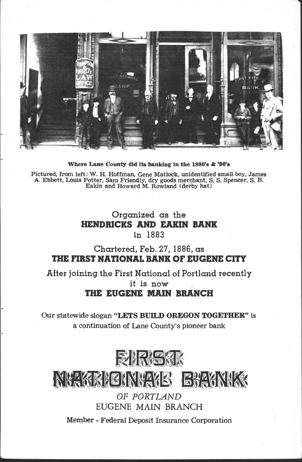

Where Lane County did its banking in the 1880's & '90's

Pictured, from left: W. H. Hoffman, Gene Matlock, unidentified small boy, James A. Ebbett, Louis Potter, Sam Friendly, dry goods merchant, S. S. Spencer, S. B. Eakin and Howard M. Rowland (derby hat)

# Organized as the HENDRICKS AND EAKIN BANK in 1883

# Chartered, Feb. 27, 1886, as THE FIRST NATIONAL BANK OF EUGENE CITY

After joining the First National of Portland recently it is now THE EUGENE MAIN BRANCH

Our statewide slogan "LETS BUILD OREGON TOGETHER" is a continuation of Lane County's pioneer bank



N NA NIE NA NIE EN NA NIK

OF PORTLAND EUGENE MAIN BRANCH

Member - Federal Deposit Insurance Corporation